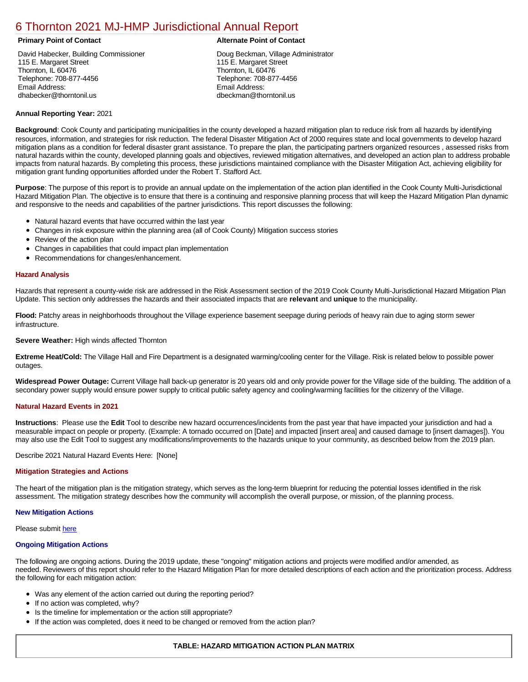# [6 Thornton 2021 MJ-HMP Jurisdictional Annual Report](https://thornton.isc-cemp.com/Cemp/Details?id=8326669)

# **Primary Point of Contact Alternate Point of Contact**

David Habecker, Building Commissioner 115 E. Margaret Street Thornton, IL 60476 Telephone: 708-877-4456 Email Address: dhabecker@thorntonil.us

Doug Beckman, Village Administrator 115 E. Margaret Street Thornton, IL 60476 Telephone: 708-877-4456 Email Address: dbeckman@thorntonil.us

# **Annual Reporting Year:** 2021

**Background**: Cook County and participating municipalities in the county developed a hazard mitigation plan to reduce risk from all hazards by identifying resources, information, and strategies for risk reduction. The federal Disaster Mitigation Act of 2000 requires state and local governments to develop hazard mitigation plans as a condition for federal disaster grant assistance. To prepare the plan, the participating partners organized resources , assessed risks from natural hazards within the county, developed planning goals and objectives, reviewed mitigation alternatives, and developed an action plan to address probable impacts from natural hazards. By completing this process, these jurisdictions maintained compliance with the Disaster Mitigation Act, achieving eligibility for mitigation grant funding opportunities afforded under the Robert T. Stafford Act.

**Purpose**: The purpose of this report is to provide an annual update on the implementation of the action plan identified in the Cook County Multi-Jurisdictional Hazard Mitigation Plan. The objective is to ensure that there is a continuing and responsive planning process that will keep the Hazard Mitigation Plan dynamic and responsive to the needs and capabilities of the partner jurisdictions. This report discusses the following:

- Natural hazard events that have occurred within the last year
- Changes in risk exposure within the planning area (all of Cook County) Mitigation success stories
- $\bullet$ Review of the action plan
- Changes in capabilities that could impact plan implementation
- Recommendations for changes/enhancement.

## **Hazard Analysis**

Hazards that represent a county-wide risk are addressed in the Risk Assessment section of the 2019 Cook County Multi-Jurisdictional Hazard Mitigation Plan Update. This section only addresses the hazards and their associated impacts that are **relevant** and **unique** to the municipality.

**Flood:** Patchy areas in neighborhoods throughout the Village experience basement seepage during periods of heavy rain due to aging storm sewer infrastructure.

### **Severe Weather:** High winds affected Thornton

**Extreme Heat/Cold:** The Village Hall and Fire Department is a designated warming/cooling center for the Village. Risk is related below to possible power outages.

**Widespread Power Outage:** Current Village hall back-up generator is 20 years old and only provide power for the Village side of the building. The addition of a secondary power supply would ensure power supply to critical public safety agency and cooling/warming facilities for the citizenry of the Village.

### **Natural Hazard Events in 2021**

**Instructions**: Please use the **Edit** Tool to describe new hazard occurrences/incidents from the past year that have impacted your jurisdiction and had a measurable impact on people or property. (Example: A tornado occurred on [Date] and impacted [insert area] and caused damage to [insert damages]). You may also use the Edit Tool to suggest any modifications/improvements to the hazards unique to your community, as described below from the 2019 plan.

Describe 2021 Natural Hazard Events Here: [None]

### **Mitigation Strategies and Actions**

The heart of the mitigation plan is the mitigation strategy, which serves as the long-term blueprint for reducing the potential losses identified in the risk assessment. The mitigation strategy describes how the community will accomplish the overall purpose, or mission, of the planning process.

### **New Mitigation Actions**

Please submit [here](https://integratedsolutions.wufoo.com/forms/mg21jvf0jn639o/)

### **Ongoing Mitigation Actions**

The following are ongoing actions. During the 2019 update, these "ongoing" mitigation actions and projects were modified and/or amended, as needed. Reviewers of this report should refer to the Hazard Mitigation Plan for more detailed descriptions of each action and the prioritization process. Address the following for each mitigation action:

- Was any element of the action carried out during the reporting period?
- If no action was completed, why?
- Is the timeline for implementation or the action still appropriate?
- If the action was completed, does it need to be changed or removed from the action plan?

# **TABLE: HAZARD MITIGATION ACTION PLAN MATRIX**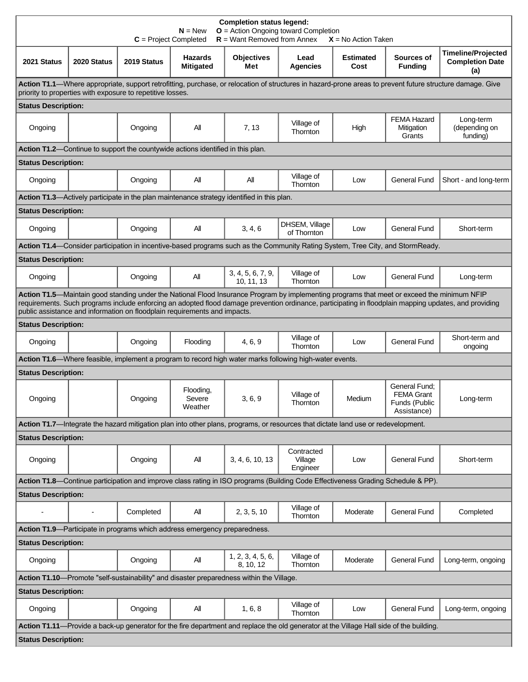| <b>Completion status legend:</b><br>$O =$ Action Ongoing toward Completion<br>$N = New$<br>$R =$ Want Removed from Annex<br>$C = Project Completed$<br>$X = No$ Action Taken                                                                                                                                                                                                       |             |             |                                                                                            |                                 |                                                                                                                                   |                          |                                                                    |                                                            |  |  |
|------------------------------------------------------------------------------------------------------------------------------------------------------------------------------------------------------------------------------------------------------------------------------------------------------------------------------------------------------------------------------------|-------------|-------------|--------------------------------------------------------------------------------------------|---------------------------------|-----------------------------------------------------------------------------------------------------------------------------------|--------------------------|--------------------------------------------------------------------|------------------------------------------------------------|--|--|
| 2021 Status                                                                                                                                                                                                                                                                                                                                                                        | 2020 Status | 2019 Status | <b>Hazards</b><br><b>Mitigated</b>                                                         | <b>Objectives</b><br>Met        | Lead<br><b>Agencies</b>                                                                                                           | <b>Estimated</b><br>Cost | Sources of<br><b>Funding</b>                                       | <b>Timeline/Projected</b><br><b>Completion Date</b><br>(a) |  |  |
| Action T1.1—Where appropriate, support retrofitting, purchase, or relocation of structures in hazard-prone areas to prevent future structure damage. Give<br>priority to properties with exposure to repetitive losses.                                                                                                                                                            |             |             |                                                                                            |                                 |                                                                                                                                   |                          |                                                                    |                                                            |  |  |
| <b>Status Description:</b>                                                                                                                                                                                                                                                                                                                                                         |             |             |                                                                                            |                                 |                                                                                                                                   |                          |                                                                    |                                                            |  |  |
| Ongoing                                                                                                                                                                                                                                                                                                                                                                            |             | Ongoing     | All                                                                                        | 7, 13                           | Village of<br>Thornton                                                                                                            | High                     | <b>FEMA Hazard</b><br>Mitigation<br>Grants                         | Long-term<br>(depending on<br>funding)                     |  |  |
|                                                                                                                                                                                                                                                                                                                                                                                    |             |             | <b>Action T1.2</b> —Continue to support the countywide actions identified in this plan.    |                                 |                                                                                                                                   |                          |                                                                    |                                                            |  |  |
| <b>Status Description:</b>                                                                                                                                                                                                                                                                                                                                                         |             |             |                                                                                            |                                 |                                                                                                                                   |                          |                                                                    |                                                            |  |  |
| Ongoing                                                                                                                                                                                                                                                                                                                                                                            |             | Ongoing     | All                                                                                        | All                             | Village of<br>Thornton                                                                                                            | Low                      | <b>General Fund</b>                                                | Short - and long-term                                      |  |  |
|                                                                                                                                                                                                                                                                                                                                                                                    |             |             | Action T1.3—Actively participate in the plan maintenance strategy identified in this plan. |                                 |                                                                                                                                   |                          |                                                                    |                                                            |  |  |
| <b>Status Description:</b>                                                                                                                                                                                                                                                                                                                                                         |             |             |                                                                                            |                                 |                                                                                                                                   |                          |                                                                    |                                                            |  |  |
| Ongoing                                                                                                                                                                                                                                                                                                                                                                            |             | Ongoing     | All                                                                                        | 3, 4, 6                         | DHSEM, Village<br>of Thornton                                                                                                     | Low                      | <b>General Fund</b>                                                | Short-term                                                 |  |  |
| Action T1.4—Consider participation in incentive-based programs such as the Community Rating System, Tree City, and StormReady.                                                                                                                                                                                                                                                     |             |             |                                                                                            |                                 |                                                                                                                                   |                          |                                                                    |                                                            |  |  |
| <b>Status Description:</b>                                                                                                                                                                                                                                                                                                                                                         |             |             |                                                                                            |                                 |                                                                                                                                   |                          |                                                                    |                                                            |  |  |
| Ongoing                                                                                                                                                                                                                                                                                                                                                                            |             | Ongoing     | All                                                                                        | 3, 4, 5, 6, 7, 9,<br>10, 11, 13 | Village of<br>Thornton                                                                                                            | Low                      | <b>General Fund</b>                                                | Long-term                                                  |  |  |
| Action T1.5—Maintain good standing under the National Flood Insurance Program by implementing programs that meet or exceed the minimum NFIP<br>requirements. Such programs include enforcing an adopted flood damage prevention ordinance, participating in floodplain mapping updates, and providing<br>public assistance and information on floodplain requirements and impacts. |             |             |                                                                                            |                                 |                                                                                                                                   |                          |                                                                    |                                                            |  |  |
| <b>Status Description:</b>                                                                                                                                                                                                                                                                                                                                                         |             |             |                                                                                            |                                 |                                                                                                                                   |                          |                                                                    |                                                            |  |  |
| Ongoing                                                                                                                                                                                                                                                                                                                                                                            |             | Ongoing     | Flooding                                                                                   | 4, 6, 9                         | Village of<br>Thornton                                                                                                            | Low                      | <b>General Fund</b>                                                | Short-term and<br>ongoing                                  |  |  |
|                                                                                                                                                                                                                                                                                                                                                                                    |             |             |                                                                                            |                                 | Action T1.6—Where feasible, implement a program to record high water marks following high-water events.                           |                          |                                                                    |                                                            |  |  |
| <b>Status Description:</b>                                                                                                                                                                                                                                                                                                                                                         |             |             |                                                                                            |                                 |                                                                                                                                   |                          |                                                                    |                                                            |  |  |
| Ongoing                                                                                                                                                                                                                                                                                                                                                                            |             | Onaoina     | Flooding,<br>Severe<br>Weather                                                             | 3, 6, 9                         | Village of<br>I hornton                                                                                                           | Medium                   | General Fund;<br><b>FEMA Grant</b><br>Funds (Public<br>Assistance) | Long-term                                                  |  |  |
|                                                                                                                                                                                                                                                                                                                                                                                    |             |             |                                                                                            |                                 | Action T1.7-Integrate the hazard mitigation plan into other plans, programs, or resources that dictate land use or redevelopment. |                          |                                                                    |                                                            |  |  |
| <b>Status Description:</b>                                                                                                                                                                                                                                                                                                                                                         |             |             |                                                                                            |                                 |                                                                                                                                   |                          |                                                                    |                                                            |  |  |
| Ongoing                                                                                                                                                                                                                                                                                                                                                                            |             | Ongoing     | All                                                                                        | 3, 4, 6, 10, 13                 | Contracted<br>Village<br>Engineer                                                                                                 | Low                      | <b>General Fund</b>                                                | Short-term                                                 |  |  |
| Action T1.8—Continue participation and improve class rating in ISO programs (Building Code Effectiveness Grading Schedule & PP).                                                                                                                                                                                                                                                   |             |             |                                                                                            |                                 |                                                                                                                                   |                          |                                                                    |                                                            |  |  |
| <b>Status Description:</b>                                                                                                                                                                                                                                                                                                                                                         |             |             |                                                                                            |                                 |                                                                                                                                   |                          |                                                                    |                                                            |  |  |
|                                                                                                                                                                                                                                                                                                                                                                                    |             | Completed   | All                                                                                        | 2, 3, 5, 10                     | Village of<br>Thornton                                                                                                            | Moderate                 | <b>General Fund</b>                                                | Completed                                                  |  |  |
| Action T1.9—Participate in programs which address emergency preparedness.                                                                                                                                                                                                                                                                                                          |             |             |                                                                                            |                                 |                                                                                                                                   |                          |                                                                    |                                                            |  |  |
| <b>Status Description:</b>                                                                                                                                                                                                                                                                                                                                                         |             |             |                                                                                            |                                 |                                                                                                                                   |                          |                                                                    |                                                            |  |  |
| Ongoing                                                                                                                                                                                                                                                                                                                                                                            |             | Ongoing     | All                                                                                        | 1, 2, 3, 4, 5, 6,<br>8, 10, 12  | Village of<br>Thornton                                                                                                            | Moderate                 | <b>General Fund</b>                                                | Long-term, ongoing                                         |  |  |
| Action T1.10-Promote "self-sustainability" and disaster preparedness within the Village.                                                                                                                                                                                                                                                                                           |             |             |                                                                                            |                                 |                                                                                                                                   |                          |                                                                    |                                                            |  |  |
| <b>Status Description:</b>                                                                                                                                                                                                                                                                                                                                                         |             |             |                                                                                            |                                 |                                                                                                                                   |                          |                                                                    |                                                            |  |  |
| Ongoing                                                                                                                                                                                                                                                                                                                                                                            |             | Ongoing     | All                                                                                        | 1, 6, 8                         | Village of<br>Thornton                                                                                                            | Low                      | <b>General Fund</b>                                                | Long-term, ongoing                                         |  |  |
| Action T1.11—Provide a back-up generator for the fire department and replace the old generator at the Village Hall side of the building.                                                                                                                                                                                                                                           |             |             |                                                                                            |                                 |                                                                                                                                   |                          |                                                                    |                                                            |  |  |
| <b>Status Description:</b>                                                                                                                                                                                                                                                                                                                                                         |             |             |                                                                                            |                                 |                                                                                                                                   |                          |                                                                    |                                                            |  |  |